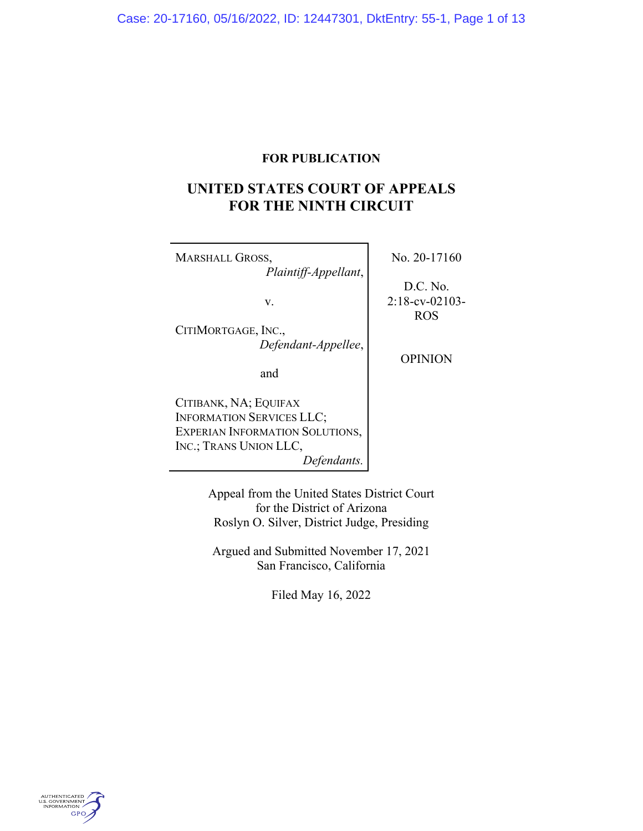# **FOR PUBLICATION**

# **UNITED STATES COURT OF APPEALS FOR THE NINTH CIRCUIT**

| <b>MARSHALL GROSS,</b><br>Plaintiff-Appellant, | No. 20-17160                  |
|------------------------------------------------|-------------------------------|
| v.                                             | D.C. No.<br>$2:18$ -cv-02103- |
|                                                | <b>ROS</b>                    |
| CITIMORTGAGE, INC.,                            |                               |
| Defendant-Appellee,                            | <b>OPINION</b>                |
| and                                            |                               |
| CITIBANK, NA; EQUIFAX                          |                               |
| <b>INFORMATION SERVICES LLC;</b>               |                               |
| <b>EXPERIAN INFORMATION SOLUTIONS,</b>         |                               |
| INC.; TRANS UNION LLC,                         |                               |
| Defendants.                                    |                               |

Appeal from the United States District Court for the District of Arizona Roslyn O. Silver, District Judge, Presiding

Argued and Submitted November 17, 2021 San Francisco, California

Filed May 16, 2022

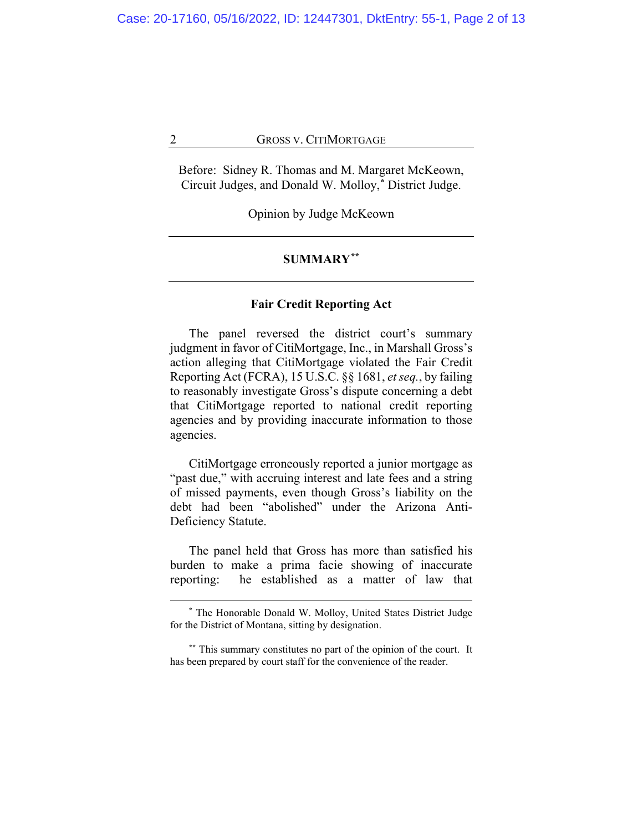Before: Sidney R. Thomas and M. Margaret McKeown, Circuit Judges, and Donald W. Molloy,**[\\*](#page-1-0)** District Judge.

Opinion by Judge McKeown

## **SUMMARY[\\*\\*](#page-1-1)**

#### **Fair Credit Reporting Act**

The panel reversed the district court's summary judgment in favor of CitiMortgage, Inc., in Marshall Gross's action alleging that CitiMortgage violated the Fair Credit Reporting Act (FCRA), 15 U.S.C. §§ 1681, *et seq.*, by failing to reasonably investigate Gross's dispute concerning a debt that CitiMortgage reported to national credit reporting agencies and by providing inaccurate information to those agencies.

CitiMortgage erroneously reported a junior mortgage as "past due," with accruing interest and late fees and a string of missed payments, even though Gross's liability on the debt had been "abolished" under the Arizona Anti-Deficiency Statute.

The panel held that Gross has more than satisfied his burden to make a prima facie showing of inaccurate reporting: he established as a matter of law that

**<sup>\*</sup>** The Honorable Donald W. Molloy, United States District Judge for the District of Montana, sitting by designation.

<span id="page-1-1"></span><span id="page-1-0"></span>**<sup>\*\*</sup>** This summary constitutes no part of the opinion of the court. It has been prepared by court staff for the convenience of the reader.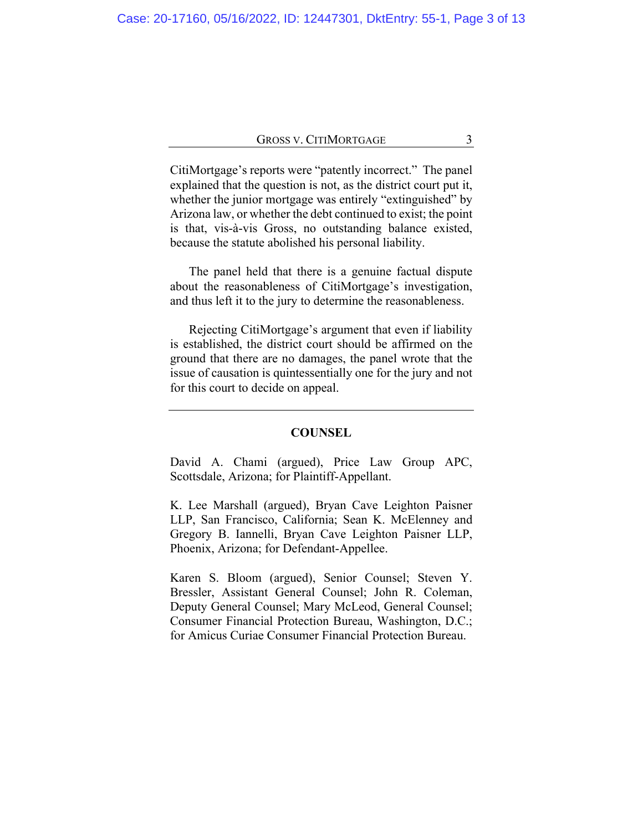CitiMortgage's reports were "patently incorrect." The panel explained that the question is not, as the district court put it, whether the junior mortgage was entirely "extinguished" by Arizona law, or whether the debt continued to exist; the point is that, vis-à-vis Gross, no outstanding balance existed, because the statute abolished his personal liability.

The panel held that there is a genuine factual dispute about the reasonableness of CitiMortgage's investigation, and thus left it to the jury to determine the reasonableness.

Rejecting CitiMortgage's argument that even if liability is established, the district court should be affirmed on the ground that there are no damages, the panel wrote that the issue of causation is quintessentially one for the jury and not for this court to decide on appeal.

## **COUNSEL**

David A. Chami (argued), Price Law Group APC, Scottsdale, Arizona; for Plaintiff-Appellant.

K. Lee Marshall (argued), Bryan Cave Leighton Paisner LLP, San Francisco, California; Sean K. McElenney and Gregory B. Iannelli, Bryan Cave Leighton Paisner LLP, Phoenix, Arizona; for Defendant-Appellee.

Karen S. Bloom (argued), Senior Counsel; Steven Y. Bressler, Assistant General Counsel; John R. Coleman, Deputy General Counsel; Mary McLeod, General Counsel; Consumer Financial Protection Bureau, Washington, D.C.; for Amicus Curiae Consumer Financial Protection Bureau.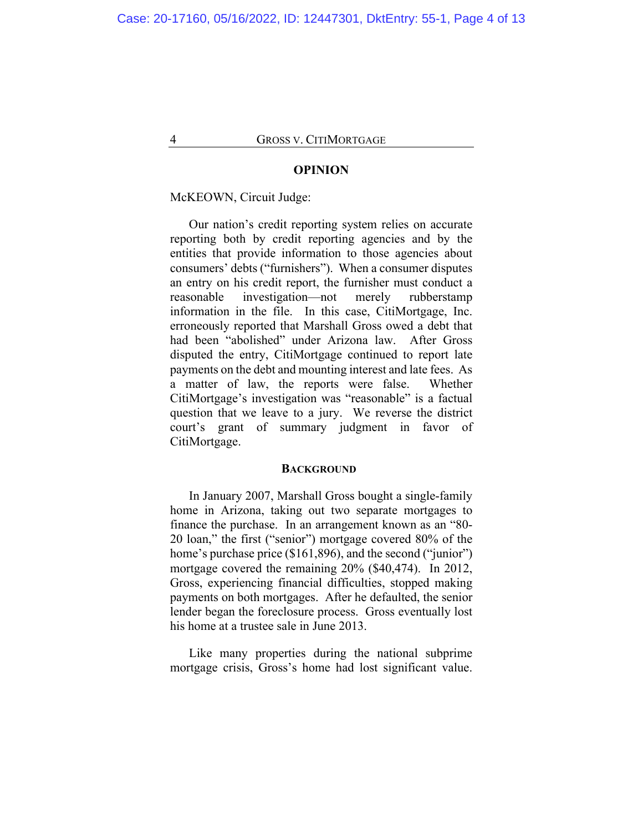#### **OPINION**

### McKEOWN, Circuit Judge:

Our nation's credit reporting system relies on accurate reporting both by credit reporting agencies and by the entities that provide information to those agencies about consumers' debts ("furnishers"). When a consumer disputes an entry on his credit report, the furnisher must conduct a reasonable investigation—not merely rubberstamp information in the file. In this case, CitiMortgage, Inc. erroneously reported that Marshall Gross owed a debt that had been "abolished" under Arizona law. After Gross disputed the entry, CitiMortgage continued to report late payments on the debt and mounting interest and late fees. As a matter of law, the reports were false. Whether CitiMortgage's investigation was "reasonable" is a factual question that we leave to a jury. We reverse the district court's grant of summary judgment in favor of CitiMortgage.

#### **BACKGROUND**

In January 2007, Marshall Gross bought a single-family home in Arizona, taking out two separate mortgages to finance the purchase. In an arrangement known as an "80- 20 loan," the first ("senior") mortgage covered 80% of the home's purchase price (\$161,896), and the second ("junior") mortgage covered the remaining 20% (\$40,474). In 2012, Gross, experiencing financial difficulties, stopped making payments on both mortgages. After he defaulted, the senior lender began the foreclosure process. Gross eventually lost his home at a trustee sale in June 2013.

Like many properties during the national subprime mortgage crisis, Gross's home had lost significant value.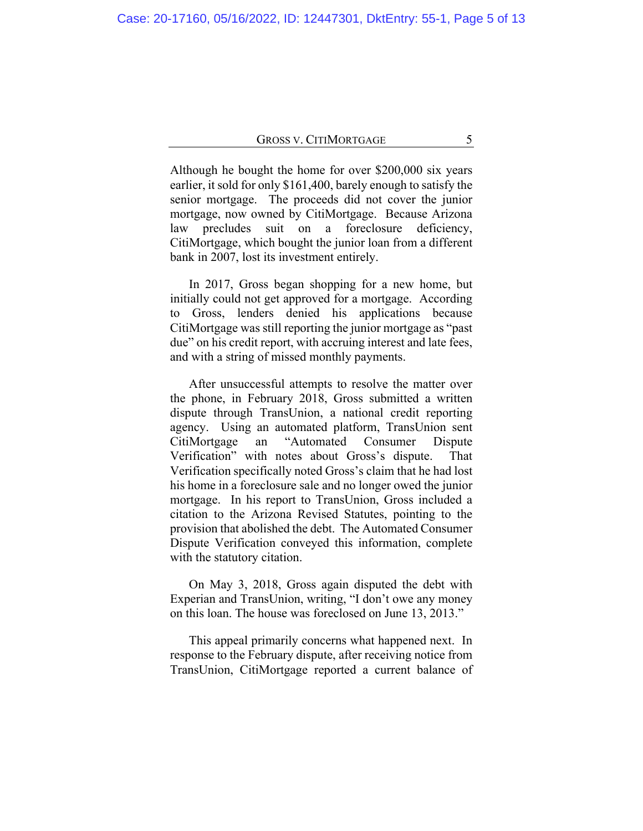Although he bought the home for over \$200,000 six years earlier, it sold for only \$161,400, barely enough to satisfy the senior mortgage. The proceeds did not cover the junior mortgage, now owned by CitiMortgage. Because Arizona law precludes suit on a foreclosure deficiency, CitiMortgage, which bought the junior loan from a different bank in 2007, lost its investment entirely.

In 2017, Gross began shopping for a new home, but initially could not get approved for a mortgage. According to Gross, lenders denied his applications because CitiMortgage was still reporting the junior mortgage as "past due" on his credit report, with accruing interest and late fees, and with a string of missed monthly payments.

After unsuccessful attempts to resolve the matter over the phone, in February 2018, Gross submitted a written dispute through TransUnion, a national credit reporting agency. Using an automated platform, TransUnion sent CitiMortgage an "Automated Consumer Dispute Verification" with notes about Gross's dispute. That Verification specifically noted Gross's claim that he had lost his home in a foreclosure sale and no longer owed the junior mortgage. In his report to TransUnion, Gross included a citation to the Arizona Revised Statutes, pointing to the provision that abolished the debt. The Automated Consumer Dispute Verification conveyed this information, complete with the statutory citation.

On May 3, 2018, Gross again disputed the debt with Experian and TransUnion, writing, "I don't owe any money on this loan. The house was foreclosed on June 13, 2013."

This appeal primarily concerns what happened next. In response to the February dispute, after receiving notice from TransUnion, CitiMortgage reported a current balance of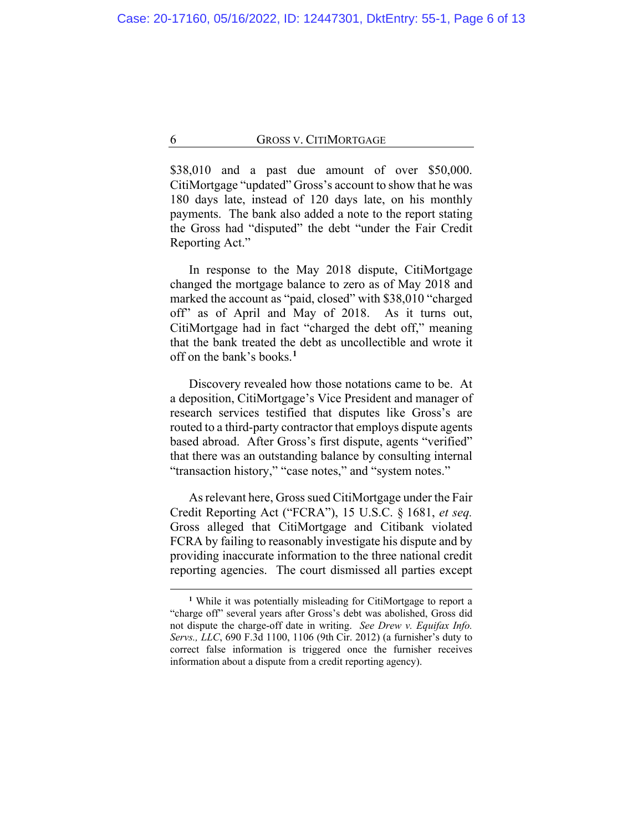\$38,010 and a past due amount of over \$50,000. CitiMortgage "updated" Gross's account to show that he was 180 days late, instead of 120 days late, on his monthly payments. The bank also added a note to the report stating the Gross had "disputed" the debt "under the Fair Credit Reporting Act."

In response to the May 2018 dispute, CitiMortgage changed the mortgage balance to zero as of May 2018 and marked the account as "paid, closed" with \$38,010 "charged off" as of April and May of 2018.As it turns out, CitiMortgage had in fact "charged the debt off," meaning that the bank treated the debt as uncollectible and wrote it off on the bank's books.**[1](#page-5-0)**

Discovery revealed how those notations came to be. At a deposition, CitiMortgage's Vice President and manager of research services testified that disputes like Gross's are routed to a third-party contractor that employs dispute agents based abroad. After Gross's first dispute, agents "verified" that there was an outstanding balance by consulting internal "transaction history," "case notes," and "system notes."

As relevant here, Gross sued CitiMortgage under the Fair Credit Reporting Act ("FCRA"), 15 U.S.C. § 1681, *et seq.* Gross alleged that CitiMortgage and Citibank violated FCRA by failing to reasonably investigate his dispute and by providing inaccurate information to the three national credit reporting agencies. The court dismissed all parties except

<span id="page-5-0"></span>**<sup>1</sup>** While it was potentially misleading for CitiMortgage to report a "charge off" several years after Gross's debt was abolished, Gross did not dispute the charge-off date in writing. *See Drew v. Equifax Info. Servs., LLC*, 690 F.3d 1100, 1106 (9th Cir. 2012) (a furnisher's duty to correct false information is triggered once the furnisher receives information about a dispute from a credit reporting agency).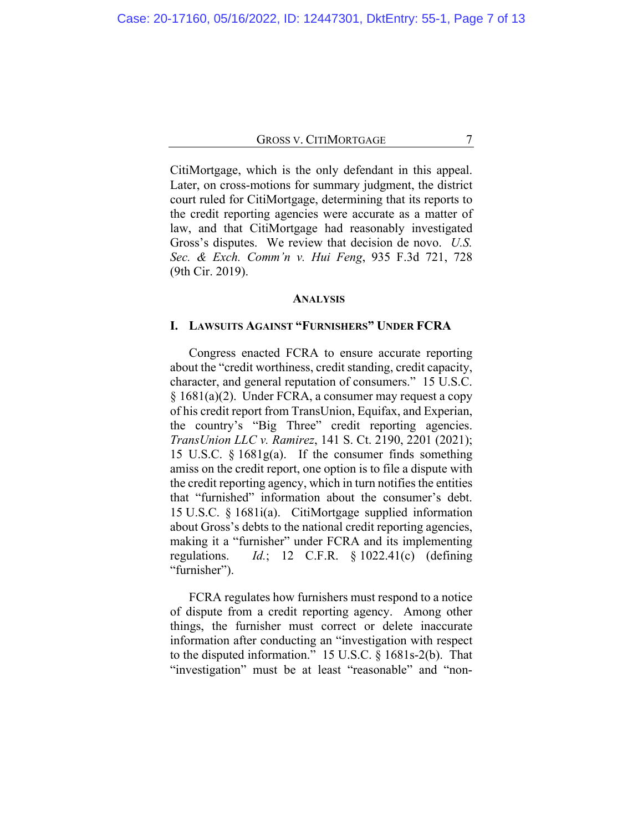CitiMortgage, which is the only defendant in this appeal. Later, on cross-motions for summary judgment, the district court ruled for CitiMortgage, determining that its reports to the credit reporting agencies were accurate as a matter of law, and that CitiMortgage had reasonably investigated Gross's disputes. We review that decision de novo. *U.S. Sec. & Exch. Comm'n v. Hui Feng*, 935 F.3d 721, 728 (9th Cir. 2019).

#### **ANALYSIS**

## **I. LAWSUITS AGAINST "FURNISHERS" UNDER FCRA**

Congress enacted FCRA to ensure accurate reporting about the "credit worthiness, credit standing, credit capacity, character, and general reputation of consumers." 15 U.S.C. § 1681(a)(2). Under FCRA, a consumer may request a copy of his credit report from TransUnion, Equifax, and Experian, the country's "Big Three" credit reporting agencies. *TransUnion LLC v. Ramirez*, 141 S. Ct. 2190, 2201 (2021); 15 U.S.C. § 1681g(a). If the consumer finds something amiss on the credit report, one option is to file a dispute with the credit reporting agency, which in turn notifies the entities that "furnished" information about the consumer's debt. 15 U.S.C. § 1681i(a). CitiMortgage supplied information about Gross's debts to the national credit reporting agencies, making it a "furnisher" under FCRA and its implementing regulations. *Id.*; 12 C.F.R. § 1022.41(c) (defining "furnisher").

FCRA regulates how furnishers must respond to a notice of dispute from a credit reporting agency. Among other things, the furnisher must correct or delete inaccurate information after conducting an "investigation with respect to the disputed information." 15 U.S.C. § 1681s-2(b). That "investigation" must be at least "reasonable" and "non-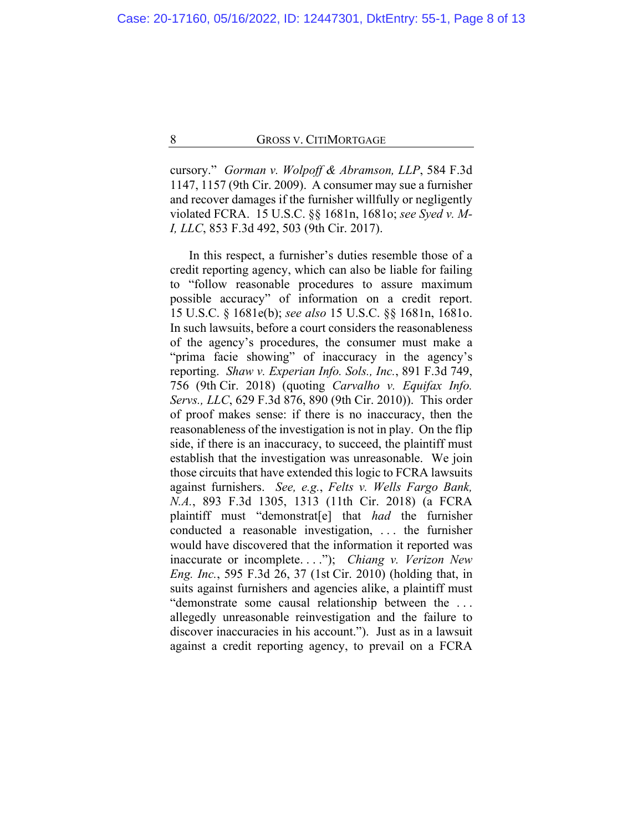cursory." *Gorman v. Wolpoff & Abramson, LLP*, 584 F.3d 1147, 1157 (9th Cir. 2009). A consumer may sue a furnisher and recover damages if the furnisher willfully or negligently violated FCRA. 15 U.S.C. §§ 1681n, 1681o; *see Syed v. M-I, LLC*, 853 F.3d 492, 503 (9th Cir. 2017).

In this respect, a furnisher's duties resemble those of a credit reporting agency, which can also be liable for failing to "follow reasonable procedures to assure maximum possible accuracy" of information on a credit report. 15 U.S.C. § 1681e(b); *see also* 15 U.S.C. §§ 1681n, 1681o. In such lawsuits, before a court considers the reasonableness of the agency's procedures, the consumer must make a "prima facie showing" of inaccuracy in the agency's reporting. *Shaw v. Experian Info. Sols., Inc.*, 891 F.3d 749, 756 (9th Cir. 2018) (quoting *Carvalho v. Equifax Info. Servs., LLC*, 629 F.3d 876, 890 (9th Cir. 2010)). This order of proof makes sense: if there is no inaccuracy, then the reasonableness of the investigation is not in play. On the flip side, if there is an inaccuracy, to succeed, the plaintiff must establish that the investigation was unreasonable. We join those circuits that have extended this logic to FCRA lawsuits against furnishers. *See, e.g.*, *Felts v. Wells Fargo Bank, N.A.*, 893 F.3d 1305, 1313 (11th Cir. 2018) (a FCRA plaintiff must "demonstrat[e] that *had* the furnisher conducted a reasonable investigation, . . . the furnisher would have discovered that the information it reported was inaccurate or incomplete. . . ."); *Chiang v. Verizon New Eng. Inc.*, 595 F.3d 26, 37 (1st Cir. 2010) (holding that, in suits against furnishers and agencies alike, a plaintiff must "demonstrate some causal relationship between the . . . allegedly unreasonable reinvestigation and the failure to discover inaccuracies in his account."). Just as in a lawsuit against a credit reporting agency, to prevail on a FCRA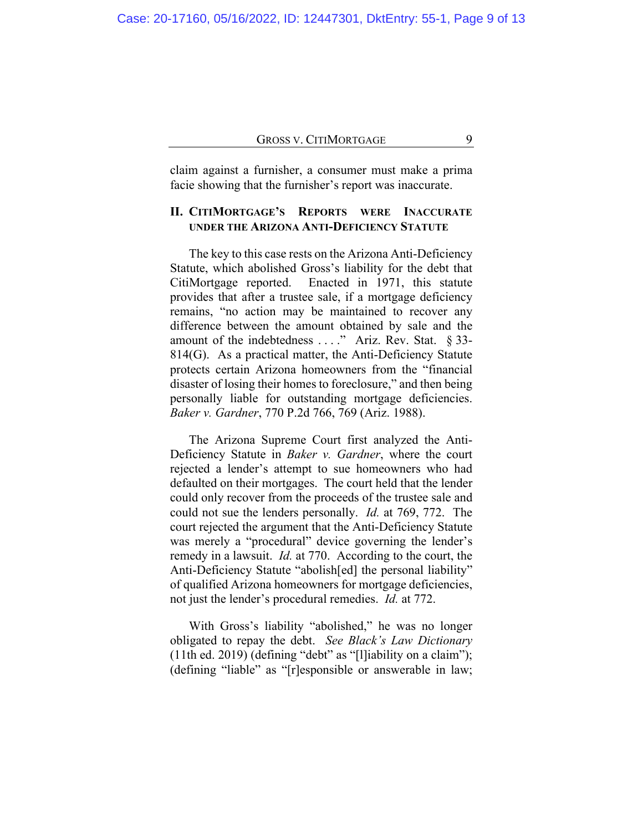claim against a furnisher, a consumer must make a prima facie showing that the furnisher's report was inaccurate.

## **II. CITIMORTGAGE'S REPORTS WERE INACCURATE UNDER THE ARIZONA ANTI-DEFICIENCY STATUTE**

The key to this case rests on the Arizona Anti-Deficiency Statute, which abolished Gross's liability for the debt that CitiMortgage reported. Enacted in 1971, this statute provides that after a trustee sale, if a mortgage deficiency remains, "no action may be maintained to recover any difference between the amount obtained by sale and the amount of the indebtedness . . . ." Ariz. Rev. Stat. § 33-814(G). As a practical matter, the Anti-Deficiency Statute protects certain Arizona homeowners from the "financial disaster of losing their homes to foreclosure," and then being personally liable for outstanding mortgage deficiencies. *Baker v. Gardner*, 770 P.2d 766, 769 (Ariz. 1988).

The Arizona Supreme Court first analyzed the Anti-Deficiency Statute in *Baker v. Gardner*, where the court rejected a lender's attempt to sue homeowners who had defaulted on their mortgages. The court held that the lender could only recover from the proceeds of the trustee sale and could not sue the lenders personally. *Id.* at 769, 772. The court rejected the argument that the Anti-Deficiency Statute was merely a "procedural" device governing the lender's remedy in a lawsuit. *Id.* at 770. According to the court, the Anti-Deficiency Statute "abolish[ed] the personal liability" of qualified Arizona homeowners for mortgage deficiencies, not just the lender's procedural remedies. *Id.* at 772.

With Gross's liability "abolished," he was no longer obligated to repay the debt. *See Black's Law Dictionary* (11th ed. 2019) (defining "debt" as "[l]iability on a claim"); (defining "liable" as "[r]esponsible or answerable in law;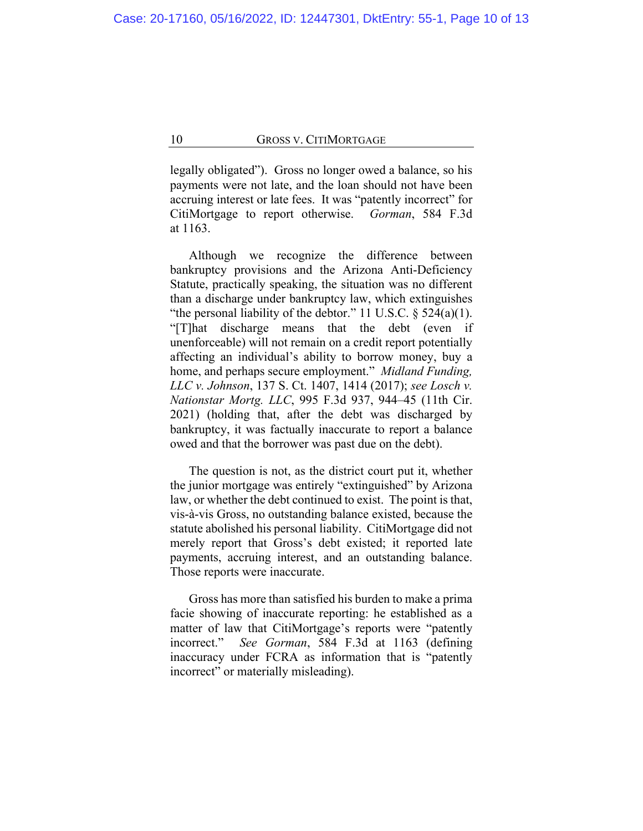legally obligated"). Gross no longer owed a balance, so his payments were not late, and the loan should not have been accruing interest or late fees. It was "patently incorrect" for CitiMortgage to report otherwise. *Gorman*, 584 F.3d at 1163.

Although we recognize the difference between bankruptcy provisions and the Arizona Anti-Deficiency Statute, practically speaking, the situation was no different than a discharge under bankruptcy law, which extinguishes "the personal liability of the debtor." 11 U.S.C.  $\S$  524(a)(1). "[T]hat discharge means that the debt (even if unenforceable) will not remain on a credit report potentially affecting an individual's ability to borrow money, buy a home, and perhaps secure employment." *Midland Funding, LLC v. Johnson*, 137 S. Ct. 1407, 1414 (2017); *see Losch v. Nationstar Mortg. LLC*, 995 F.3d 937, 944–45 (11th Cir. 2021) (holding that, after the debt was discharged by bankruptcy, it was factually inaccurate to report a balance owed and that the borrower was past due on the debt).

The question is not, as the district court put it, whether the junior mortgage was entirely "extinguished" by Arizona law, or whether the debt continued to exist. The point is that, vis-à-vis Gross, no outstanding balance existed, because the statute abolished his personal liability. CitiMortgage did not merely report that Gross's debt existed; it reported late payments, accruing interest, and an outstanding balance. Those reports were inaccurate.

Gross has more than satisfied his burden to make a prima facie showing of inaccurate reporting: he established as a matter of law that CitiMortgage's reports were "patently incorrect." *See Gorman*, 584 F.3d at 1163 (defining inaccuracy under FCRA as information that is "patently incorrect" or materially misleading).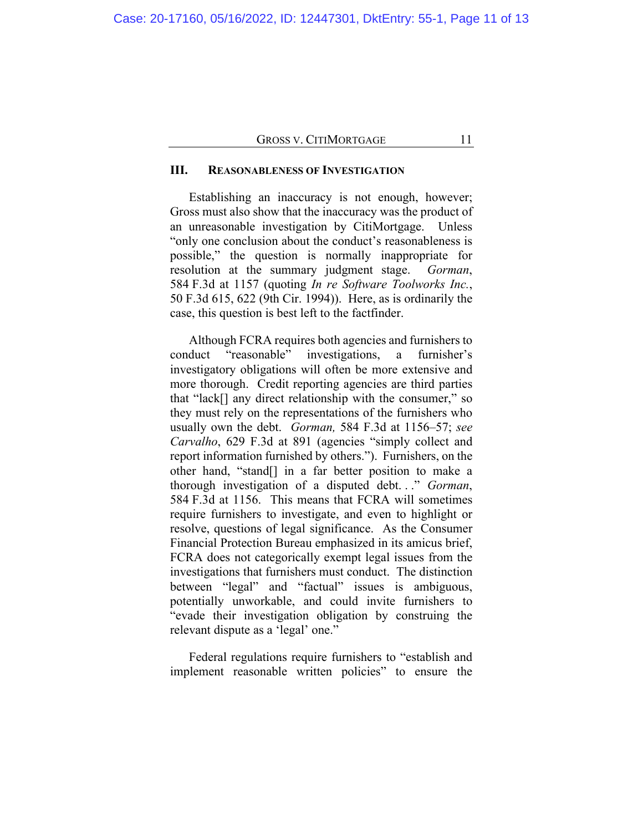## **III. REASONABLENESS OF INVESTIGATION**

Establishing an inaccuracy is not enough, however; Gross must also show that the inaccuracy was the product of an unreasonable investigation by CitiMortgage. Unless "only one conclusion about the conduct's reasonableness is possible," the question is normally inappropriate for resolution at the summary judgment stage. *Gorman*, 584 F.3d at 1157 (quoting *In re Software Toolworks Inc.*, 50 F.3d 615, 622 (9th Cir. 1994)). Here, as is ordinarily the case, this question is best left to the factfinder.

Although FCRA requires both agencies and furnishers to conduct "reasonable" investigations, a furnisher's investigatory obligations will often be more extensive and more thorough. Credit reporting agencies are third parties that "lack[] any direct relationship with the consumer," so they must rely on the representations of the furnishers who usually own the debt. *Gorman,* 584 F.3d at 1156–57; *see Carvalho*, 629 F.3d at 891 (agencies "simply collect and report information furnished by others."). Furnishers, on the other hand, "stand[] in a far better position to make a thorough investigation of a disputed debt. . ." *Gorman*, 584 F.3d at 1156. This means that FCRA will sometimes require furnishers to investigate, and even to highlight or resolve, questions of legal significance. As the Consumer Financial Protection Bureau emphasized in its amicus brief, FCRA does not categorically exempt legal issues from the investigations that furnishers must conduct. The distinction between "legal" and "factual" issues is ambiguous, potentially unworkable, and could invite furnishers to "evade their investigation obligation by construing the relevant dispute as a 'legal' one."

Federal regulations require furnishers to "establish and implement reasonable written policies" to ensure the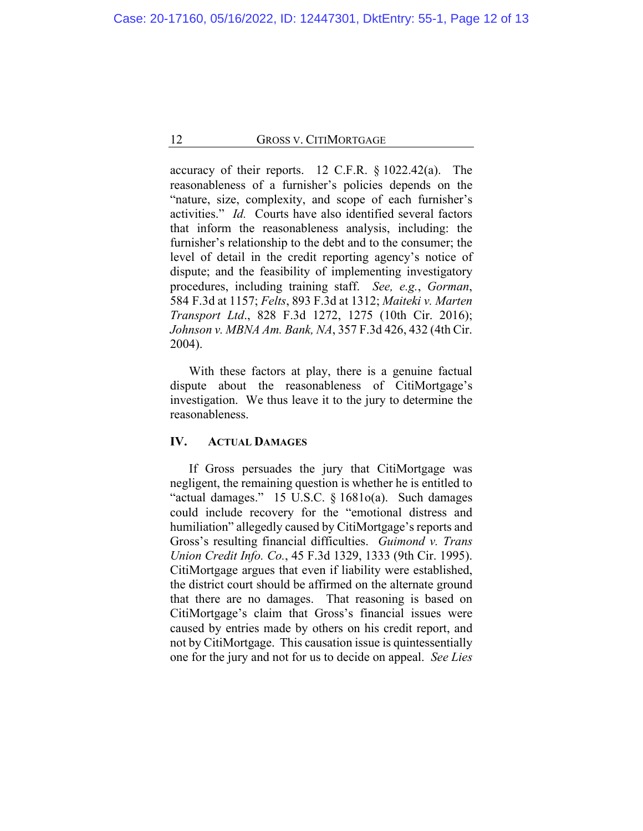accuracy of their reports. 12 C.F.R. § 1022.42(a). The reasonableness of a furnisher's policies depends on the "nature, size, complexity, and scope of each furnisher's activities." *Id.* Courts have also identified several factors that inform the reasonableness analysis, including: the furnisher's relationship to the debt and to the consumer; the level of detail in the credit reporting agency's notice of dispute; and the feasibility of implementing investigatory procedures, including training staff. *See, e.g.*, *Gorman*, 584 F.3d at 1157; *Felts*, 893 F.3d at 1312; *Maiteki v. Marten Transport Ltd*., 828 F.3d 1272, 1275 (10th Cir. 2016); *Johnson v. MBNA Am. Bank, NA*, 357 F.3d 426, 432 (4th Cir. 2004).

With these factors at play, there is a genuine factual dispute about the reasonableness of CitiMortgage's investigation. We thus leave it to the jury to determine the reasonableness.

## **IV. ACTUAL DAMAGES**

If Gross persuades the jury that CitiMortgage was negligent, the remaining question is whether he is entitled to "actual damages." 15 U.S.C. § 1681o(a). Such damages could include recovery for the "emotional distress and humiliation" allegedly caused by CitiMortgage's reports and Gross's resulting financial difficulties. *Guimond v. Trans Union Credit Info. Co.*, 45 F.3d 1329, 1333 (9th Cir. 1995). CitiMortgage argues that even if liability were established, the district court should be affirmed on the alternate ground that there are no damages. That reasoning is based on CitiMortgage's claim that Gross's financial issues were caused by entries made by others on his credit report, and not by CitiMortgage. This causation issue is quintessentially one for the jury and not for us to decide on appeal. *See Lies*